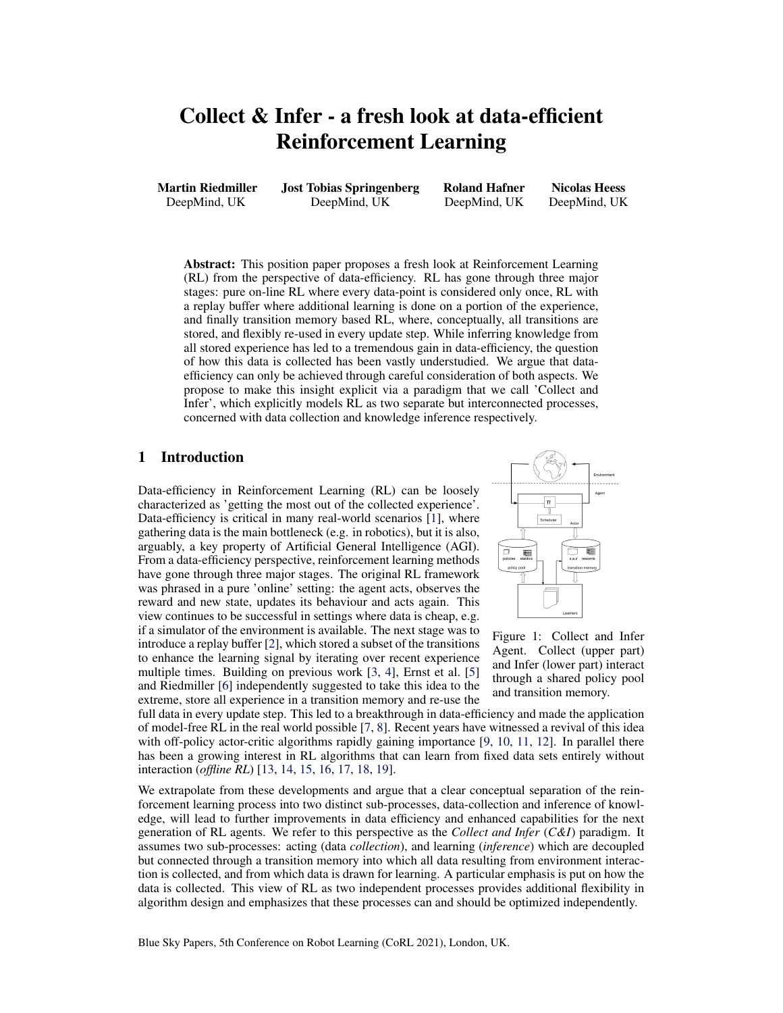# Collect & Infer - a fresh look at data-efficient Reinforcement Learning

Martin Riedmiller DeepMind, UK

Jost Tobias Springenberg DeepMind, UK

Roland Hafner DeepMind, UK

Nicolas Heess DeepMind, UK

Abstract: This position paper proposes a fresh look at Reinforcement Learning (RL) from the perspective of data-efficiency. RL has gone through three major stages: pure on-line RL where every data-point is considered only once, RL with a replay buffer where additional learning is done on a portion of the experience, and finally transition memory based RL, where, conceptually, all transitions are stored, and flexibly re-used in every update step. While inferring knowledge from all stored experience has led to a tremendous gain in data-efficiency, the question of how this data is collected has been vastly understudied. We argue that dataefficiency can only be achieved through careful consideration of both aspects. We propose to make this insight explicit via a paradigm that we call 'Collect and Infer', which explicitly models RL as two separate but interconnected processes, concerned with data collection and knowledge inference respectively.

# 1 Introduction

Data-efficiency in Reinforcement Learning (RL) can be loosely characterized as 'getting the most out of the collected experience'. Data-efficiency is critical in many real-world scenarios [\[1\]](#page-4-0), where gathering data is the main bottleneck (e.g. in robotics), but it is also, arguably, a key property of Artificial General Intelligence (AGI). From a data-efficiency perspective, reinforcement learning methods have gone through three major stages. The original RL framework was phrased in a pure 'online' setting: the agent acts, observes the reward and new state, updates its behaviour and acts again. This view continues to be successful in settings where data is cheap, e.g. if a simulator of the environment is available. The next stage was to introduce a replay buffer [\[2\]](#page-4-0), which stored a subset of the transitions to enhance the learning signal by iterating over recent experience multiple times. Building on previous work [\[3,](#page-4-0) [4\]](#page-4-0), Ernst et al. [\[5\]](#page-4-0) and Riedmiller [\[6\]](#page-4-0) independently suggested to take this idea to the extreme, store all experience in a transition memory and re-use the



Figure 1: Collect and Infer Agent. Collect (upper part) and Infer (lower part) interact through a shared policy pool and transition memory.

full data in every update step. This led to a breakthrough in data-efficiency and made the application of model-free RL in the real world possible [\[7,](#page-4-0) [8\]](#page-4-0). Recent years have witnessed a revival of this idea with off-policy actor-critic algorithms rapidly gaining importance [\[9,](#page-4-0) [10,](#page-4-0) [11,](#page-4-0) [12\]](#page-4-0). In parallel there has been a growing interest in RL algorithms that can learn from fixed data sets entirely without interaction (*offline RL*) [\[13,](#page-4-0) [14,](#page-4-0) [15,](#page-4-0) [16,](#page-4-0) [17,](#page-5-0) [18,](#page-5-0) [19\]](#page-5-0).

We extrapolate from these developments and argue that a clear conceptual separation of the reinforcement learning process into two distinct sub-processes, data-collection and inference of knowledge, will lead to further improvements in data efficiency and enhanced capabilities for the next generation of RL agents. We refer to this perspective as the *Collect and Infer* (*C&I*) paradigm. It assumes two sub-processes: acting (data *collection*), and learning (*inference*) which are decoupled but connected through a transition memory into which all data resulting from environment interaction is collected, and from which data is drawn for learning. A particular emphasis is put on how the data is collected. This view of RL as two independent processes provides additional flexibility in algorithm design and emphasizes that these processes can and should be optimized independently.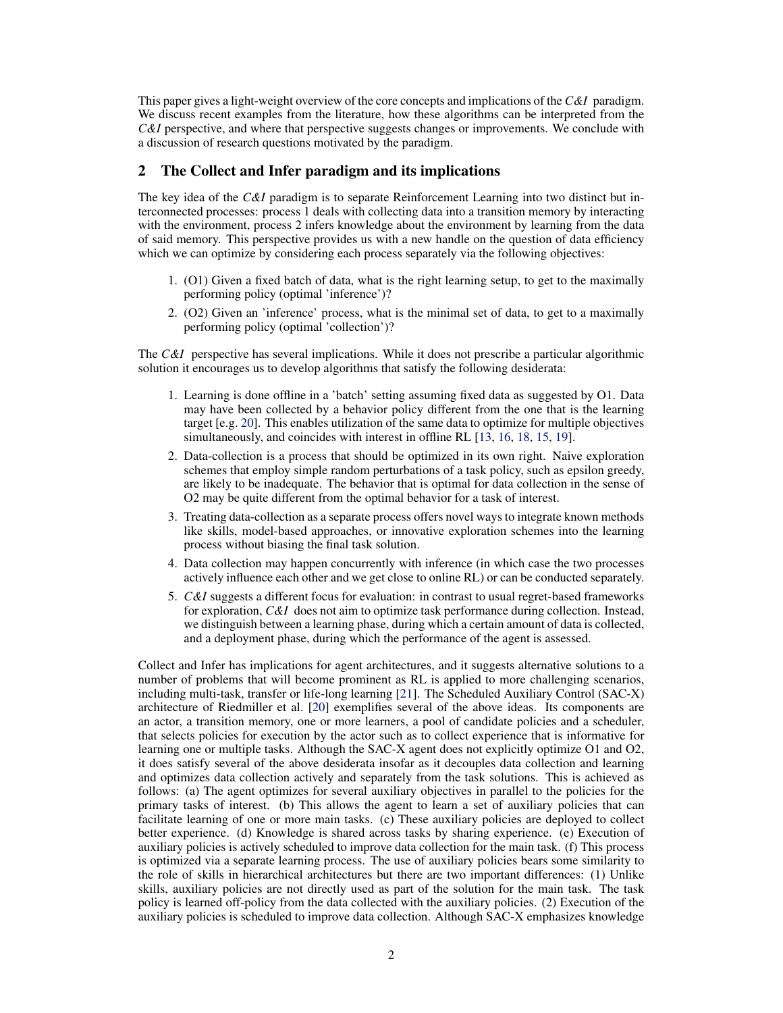<span id="page-1-0"></span>This paper gives a light-weight overview of the core concepts and implications of the *C&I* paradigm. We discuss recent examples from the literature, how these algorithms can be interpreted from the *C&I* perspective, and where that perspective suggests changes or improvements. We conclude with a discussion of research questions motivated by the paradigm.

# 2 The Collect and Infer paradigm and its implications

The key idea of the *C&I* paradigm is to separate Reinforcement Learning into two distinct but interconnected processes: process 1 deals with collecting data into a transition memory by interacting with the environment, process 2 infers knowledge about the environment by learning from the data of said memory. This perspective provides us with a new handle on the question of data efficiency which we can optimize by considering each process separately via the following objectives:

- 1. (O1) Given a fixed batch of data, what is the right learning setup, to get to the maximally performing policy (optimal 'inference')?
- 2. (O2) Given an 'inference' process, what is the minimal set of data, to get to a maximally performing policy (optimal 'collection')?

The *C&I* perspective has several implications. While it does not prescribe a particular algorithmic solution it encourages us to develop algorithms that satisfy the following desiderata:

- 1. Learning is done offline in a 'batch' setting assuming fixed data as suggested by O1. Data may have been collected by a behavior policy different from the one that is the learning target [e.g. [20\]](#page-5-0). This enables utilization of the same data to optimize for multiple objectives simultaneously, and coincides with interest in offline RL [\[13,](#page-4-0) [16,](#page-4-0) [18,](#page-5-0) [15,](#page-4-0) [19\]](#page-5-0).
- 2. Data-collection is a process that should be optimized in its own right. Naive exploration schemes that employ simple random perturbations of a task policy, such as epsilon greedy, are likely to be inadequate. The behavior that is optimal for data collection in the sense of O2 may be quite different from the optimal behavior for a task of interest.
- 3. Treating data-collection as a separate process offers novel ways to integrate known methods like skills, model-based approaches, or innovative exploration schemes into the learning process without biasing the final task solution.
- 4. Data collection may happen concurrently with inference (in which case the two processes actively influence each other and we get close to online RL) or can be conducted separately.
- 5. *C&I* suggests a different focus for evaluation: in contrast to usual regret-based frameworks for exploration, *C&I* does not aim to optimize task performance during collection. Instead, we distinguish between a learning phase, during which a certain amount of data is collected, and a deployment phase, during which the performance of the agent is assessed.

Collect and Infer has implications for agent architectures, and it suggests alternative solutions to a number of problems that will become prominent as RL is applied to more challenging scenarios, including multi-task, transfer or life-long learning [\[21\]](#page-5-0). The Scheduled Auxiliary Control (SAC-X) architecture of Riedmiller et al. [\[20\]](#page-5-0) exemplifies several of the above ideas. Its components are an actor, a transition memory, one or more learners, a pool of candidate policies and a scheduler, that selects policies for execution by the actor such as to collect experience that is informative for learning one or multiple tasks. Although the SAC-X agent does not explicitly optimize O1 and O2, it does satisfy several of the above desiderata insofar as it decouples data collection and learning and optimizes data collection actively and separately from the task solutions. This is achieved as follows: (a) The agent optimizes for several auxiliary objectives in parallel to the policies for the primary tasks of interest. (b) This allows the agent to learn a set of auxiliary policies that can facilitate learning of one or more main tasks. (c) These auxiliary policies are deployed to collect better experience. (d) Knowledge is shared across tasks by sharing experience. (e) Execution of auxiliary policies is actively scheduled to improve data collection for the main task. (f) This process is optimized via a separate learning process. The use of auxiliary policies bears some similarity to the role of skills in hierarchical architectures but there are two important differences: (1) Unlike skills, auxiliary policies are not directly used as part of the solution for the main task. The task policy is learned off-policy from the data collected with the auxiliary policies. (2) Execution of the auxiliary policies is scheduled to improve data collection. Although SAC-X emphasizes knowledge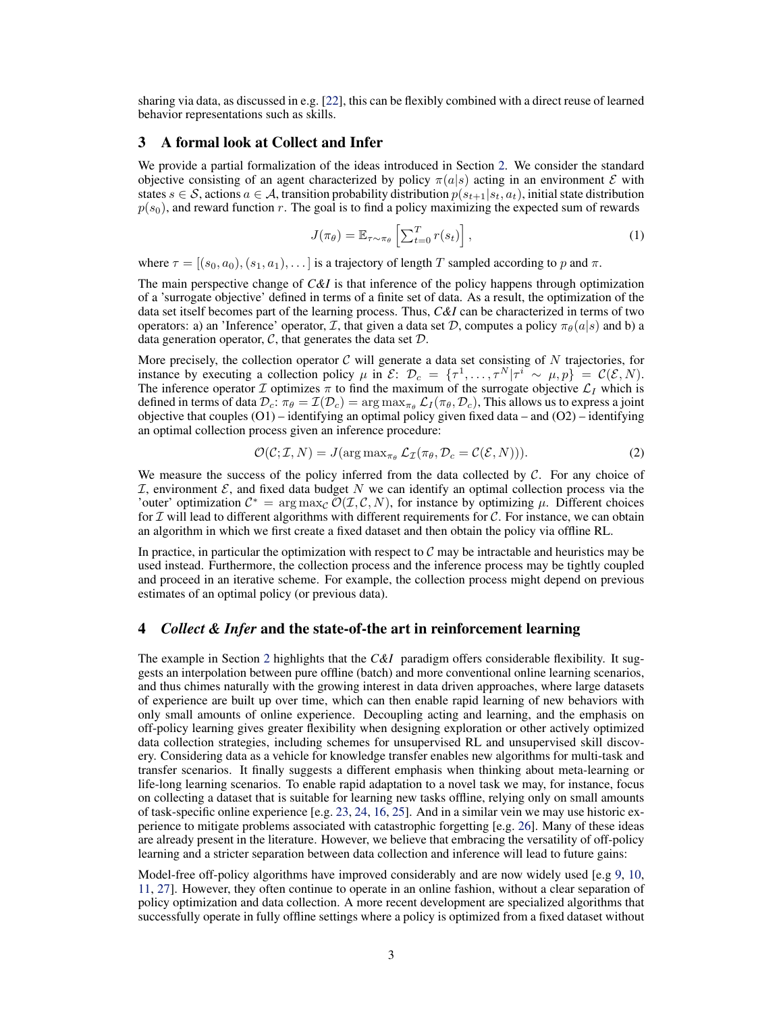sharing via data, as discussed in e.g. [\[22\]](#page-5-0), this can be flexibly combined with a direct reuse of learned behavior representations such as skills.

#### 3 A formal look at Collect and Infer

We provide a partial formalization of the ideas introduced in Section [2.](#page-1-0) We consider the standard objective consisting of an agent characterized by policy  $\pi(a|s)$  acting in an environment E with states  $s \in \mathcal{S}$ , actions  $a \in \mathcal{A}$ , transition probability distribution  $p(s_{t+1}|s_t, a_t)$ , initial state distribution  $p(s_0)$ , and reward function r. The goal is to find a policy maximizing the expected sum of rewards

$$
J(\pi_{\theta}) = \mathbb{E}_{\tau \sim \pi_{\theta}} \left[ \sum_{t=0}^{T} r(s_t) \right],
$$
 (1)

where  $\tau = [(s_0, a_0), (s_1, a_1), \dots]$  is a trajectory of length T sampled according to p and  $\pi$ .

The main perspective change of *C&I* is that inference of the policy happens through optimization of a 'surrogate objective' defined in terms of a finite set of data. As a result, the optimization of the data set itself becomes part of the learning process. Thus, *C&I* can be characterized in terms of two operators: a) an 'Inference' operator, I, that given a data set D, computes a policy  $\pi_{\theta}(a|s)$  and b) a data generation operator,  $\mathcal{C}$ , that generates the data set  $\mathcal{D}$ .

More precisely, the collection operator  $\mathcal C$  will generate a data set consisting of N trajectories, for instance by executing a collection policy  $\mu$  in  $\mathcal{E}$ :  $\mathcal{D}_c = {\{\tau^1, \dots, \tau^N | \tau^i \sim \mu, p\}} = \mathcal{C}(\mathcal{E}, N)$ . The inference operator I optimizes  $\pi$  to find the maximum of the surrogate objective  $\mathcal{L}_I$  which is defined in terms of data  $\mathcal{D}_c$ :  $\pi_\theta = \mathcal{I}(\mathcal{D}_c) = \arg \max_{\pi_\theta} \mathcal{L}_I(\pi_\theta, \mathcal{D}_c)$ , This allows us to express a joint objective that couples  $(O1)$  – identifying an optimal policy given fixed data – and  $(O2)$  – identifying an optimal collection process given an inference procedure:

$$
\mathcal{O}(\mathcal{C}; \mathcal{I}, N) = J(\arg \max_{\pi_{\theta}} \mathcal{L}_{\mathcal{I}}(\pi_{\theta}, \mathcal{D}_{c} = \mathcal{C}(\mathcal{E}, N))).
$$
\n(2)

We measure the success of the policy inferred from the data collected by  $C$ . For any choice of  $I$ , environment  $E$ , and fixed data budget N we can identify an optimal collection process via the 'outer' optimization  $C^* = \arg \max_{C} \overline{\mathcal{O}}(\mathcal{I}, \mathcal{C}, N)$ , for instance by optimizing  $\mu$ . Different choices for  $\mathcal I$  will lead to different algorithms with different requirements for  $\mathcal C$ . For instance, we can obtain an algorithm in which we first create a fixed dataset and then obtain the policy via offline RL.

In practice, in particular the optimization with respect to  $C$  may be intractable and heuristics may be used instead. Furthermore, the collection process and the inference process may be tightly coupled and proceed in an iterative scheme. For example, the collection process might depend on previous estimates of an optimal policy (or previous data).

# 4 *Collect & Infer* and the state-of-the art in reinforcement learning

The example in Section [2](#page-1-0) highlights that the *C&I* paradigm offers considerable flexibility. It suggests an interpolation between pure offline (batch) and more conventional online learning scenarios, and thus chimes naturally with the growing interest in data driven approaches, where large datasets of experience are built up over time, which can then enable rapid learning of new behaviors with only small amounts of online experience. Decoupling acting and learning, and the emphasis on off-policy learning gives greater flexibility when designing exploration or other actively optimized data collection strategies, including schemes for unsupervised RL and unsupervised skill discovery. Considering data as a vehicle for knowledge transfer enables new algorithms for multi-task and transfer scenarios. It finally suggests a different emphasis when thinking about meta-learning or life-long learning scenarios. To enable rapid adaptation to a novel task we may, for instance, focus on collecting a dataset that is suitable for learning new tasks offline, relying only on small amounts of task-specific online experience [e.g. [23,](#page-5-0) [24,](#page-5-0) [16,](#page-4-0) [25\]](#page-5-0). And in a similar vein we may use historic experience to mitigate problems associated with catastrophic forgetting [e.g. [26\]](#page-5-0). Many of these ideas are already present in the literature. However, we believe that embracing the versatility of off-policy learning and a stricter separation between data collection and inference will lead to future gains:

Model-free off-policy algorithms have improved considerably and are now widely used [e.g [9,](#page-4-0) [10,](#page-4-0) [11,](#page-4-0) [27\]](#page-5-0). However, they often continue to operate in an online fashion, without a clear separation of policy optimization and data collection. A more recent development are specialized algorithms that successfully operate in fully offline settings where a policy is optimized from a fixed dataset without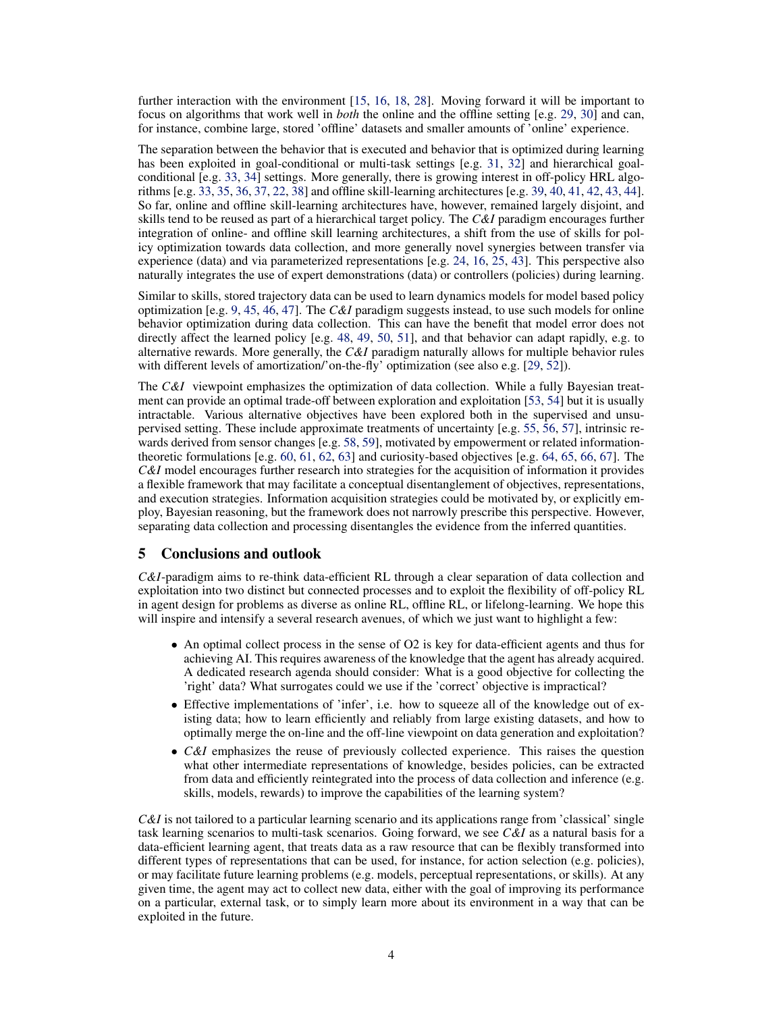further interaction with the environment [\[15,](#page-4-0) [16,](#page-4-0) [18,](#page-5-0) [28\]](#page-5-0). Moving forward it will be important to focus on algorithms that work well in *both* the online and the offline setting [e.g. [29,](#page-5-0) [30\]](#page-5-0) and can, for instance, combine large, stored 'offline' datasets and smaller amounts of 'online' experience.

The separation between the behavior that is executed and behavior that is optimized during learning has been exploited in goal-conditional or multi-task settings [e.g. [31,](#page-5-0) [32\]](#page-5-0) and hierarchical goalconditional [e.g. [33,](#page-6-0) [34\]](#page-6-0) settings. More generally, there is growing interest in off-policy HRL algorithms [e.g. [33,](#page-6-0) [35,](#page-6-0) [36,](#page-6-0) [37,](#page-6-0) [22,](#page-5-0) [38\]](#page-6-0) and offline skill-learning architectures [e.g. [39,](#page-6-0) [40,](#page-6-0) [41,](#page-6-0) [42,](#page-6-0) [43,](#page-6-0) [44\]](#page-6-0). So far, online and offline skill-learning architectures have, however, remained largely disjoint, and skills tend to be reused as part of a hierarchical target policy. The *C&I* paradigm encourages further integration of online- and offline skill learning architectures, a shift from the use of skills for policy optimization towards data collection, and more generally novel synergies between transfer via experience (data) and via parameterized representations [e.g. [24,](#page-5-0) [16,](#page-4-0) [25,](#page-5-0) [43\]](#page-6-0). This perspective also naturally integrates the use of expert demonstrations (data) or controllers (policies) during learning.

Similar to skills, stored trajectory data can be used to learn dynamics models for model based policy optimization [e.g. [9,](#page-4-0) [45,](#page-6-0) [46,](#page-6-0) [47\]](#page-6-0). The *C&I* paradigm suggests instead, to use such models for online behavior optimization during data collection. This can have the benefit that model error does not directly affect the learned policy [e.g. [48,](#page-6-0) [49,](#page-7-0) [50,](#page-7-0) [51\]](#page-7-0), and that behavior can adapt rapidly, e.g. to alternative rewards. More generally, the *C&I* paradigm naturally allows for multiple behavior rules with different levels of amortization/'on-the-fly' optimization (see also e.g. [\[29,](#page-5-0) [52\]](#page-7-0)).

The *C&I* viewpoint emphasizes the optimization of data collection. While a fully Bayesian treatment can provide an optimal trade-off between exploration and exploitation [\[53,](#page-7-0) [54\]](#page-7-0) but it is usually intractable. Various alternative objectives have been explored both in the supervised and unsupervised setting. These include approximate treatments of uncertainty [e.g. [55,](#page-7-0) [56,](#page-7-0) [57\]](#page-7-0), intrinsic rewards derived from sensor changes [e.g. [58,](#page-7-0) [59\]](#page-7-0), motivated by empowerment or related informationtheoretic formulations  $[e.g. 60, 61, 62, 63]$  $[e.g. 60, 61, 62, 63]$  $[e.g. 60, 61, 62, 63]$  $[e.g. 60, 61, 62, 63]$  $[e.g. 60, 61, 62, 63]$  $[e.g. 60, 61, 62, 63]$  $[e.g. 60, 61, 62, 63]$  $[e.g. 60, 61, 62, 63]$  and curiosity-based objectives  $[e.g. 64, 65, 66, 67]$  $[e.g. 64, 65, 66, 67]$  $[e.g. 64, 65, 66, 67]$  $[e.g. 64, 65, 66, 67]$  $[e.g. 64, 65, 66, 67]$  $[e.g. 64, 65, 66, 67]$  $[e.g. 64, 65, 66, 67]$  $[e.g. 64, 65, 66, 67]$ . The *C&I* model encourages further research into strategies for the acquisition of information it provides a flexible framework that may facilitate a conceptual disentanglement of objectives, representations, and execution strategies. Information acquisition strategies could be motivated by, or explicitly employ, Bayesian reasoning, but the framework does not narrowly prescribe this perspective. However, separating data collection and processing disentangles the evidence from the inferred quantities.

### 5 Conclusions and outlook

*C&I*-paradigm aims to re-think data-efficient RL through a clear separation of data collection and exploitation into two distinct but connected processes and to exploit the flexibility of off-policy RL in agent design for problems as diverse as online RL, offline RL, or lifelong-learning. We hope this will inspire and intensify a several research avenues, of which we just want to highlight a few:

- An optimal collect process in the sense of O2 is key for data-efficient agents and thus for achieving AI. This requires awareness of the knowledge that the agent has already acquired. A dedicated research agenda should consider: What is a good objective for collecting the 'right' data? What surrogates could we use if the 'correct' objective is impractical?
- Effective implementations of 'infer', i.e. how to squeeze all of the knowledge out of existing data; how to learn efficiently and reliably from large existing datasets, and how to optimally merge the on-line and the off-line viewpoint on data generation and exploitation?
- *C&I* emphasizes the reuse of previously collected experience. This raises the question what other intermediate representations of knowledge, besides policies, can be extracted from data and efficiently reintegrated into the process of data collection and inference (e.g. skills, models, rewards) to improve the capabilities of the learning system?

*C&I* is not tailored to a particular learning scenario and its applications range from 'classical' single task learning scenarios to multi-task scenarios. Going forward, we see *C&I* as a natural basis for a data-efficient learning agent, that treats data as a raw resource that can be flexibly transformed into different types of representations that can be used, for instance, for action selection (e.g. policies), or may facilitate future learning problems (e.g. models, perceptual representations, or skills). At any given time, the agent may act to collect new data, either with the goal of improving its performance on a particular, external task, or to simply learn more about its environment in a way that can be exploited in the future.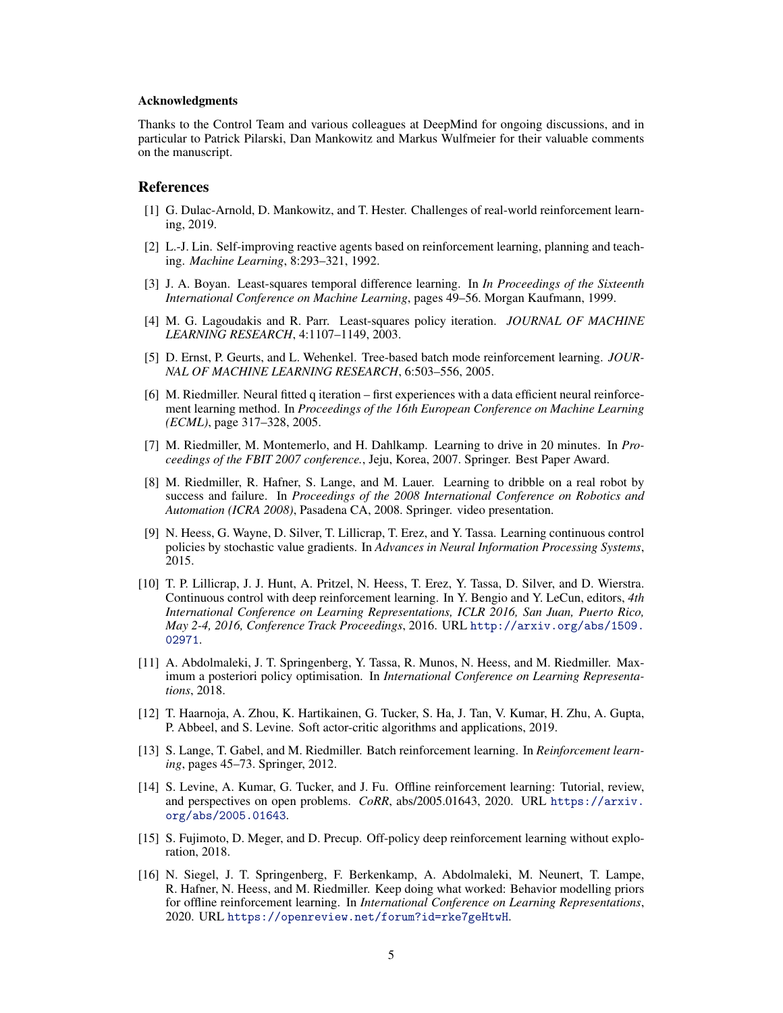#### <span id="page-4-0"></span>Acknowledgments

Thanks to the Control Team and various colleagues at DeepMind for ongoing discussions, and in particular to Patrick Pilarski, Dan Mankowitz and Markus Wulfmeier for their valuable comments on the manuscript.

#### References

- [1] G. Dulac-Arnold, D. Mankowitz, and T. Hester. Challenges of real-world reinforcement learning, 2019.
- [2] L.-J. Lin. Self-improving reactive agents based on reinforcement learning, planning and teaching. *Machine Learning*, 8:293–321, 1992.
- [3] J. A. Boyan. Least-squares temporal difference learning. In *In Proceedings of the Sixteenth International Conference on Machine Learning*, pages 49–56. Morgan Kaufmann, 1999.
- [4] M. G. Lagoudakis and R. Parr. Least-squares policy iteration. *JOURNAL OF MACHINE LEARNING RESEARCH*, 4:1107–1149, 2003.
- [5] D. Ernst, P. Geurts, and L. Wehenkel. Tree-based batch mode reinforcement learning. *JOUR-NAL OF MACHINE LEARNING RESEARCH*, 6:503–556, 2005.
- [6] M. Riedmiller. Neural fitted q iteration first experiences with a data efficient neural reinforcement learning method. In *Proceedings of the 16th European Conference on Machine Learning (ECML)*, page 317–328, 2005.
- [7] M. Riedmiller, M. Montemerlo, and H. Dahlkamp. Learning to drive in 20 minutes. In *Proceedings of the FBIT 2007 conference.*, Jeju, Korea, 2007. Springer. Best Paper Award.
- [8] M. Riedmiller, R. Hafner, S. Lange, and M. Lauer. Learning to dribble on a real robot by success and failure. In *Proceedings of the 2008 International Conference on Robotics and Automation (ICRA 2008)*, Pasadena CA, 2008. Springer. video presentation.
- [9] N. Heess, G. Wayne, D. Silver, T. Lillicrap, T. Erez, and Y. Tassa. Learning continuous control policies by stochastic value gradients. In *Advances in Neural Information Processing Systems*, 2015.
- [10] T. P. Lillicrap, J. J. Hunt, A. Pritzel, N. Heess, T. Erez, Y. Tassa, D. Silver, and D. Wierstra. Continuous control with deep reinforcement learning. In Y. Bengio and Y. LeCun, editors, *4th International Conference on Learning Representations, ICLR 2016, San Juan, Puerto Rico, May 2-4, 2016, Conference Track Proceedings*, 2016. URL [http://arxiv.org/abs/1509.](http://arxiv.org/abs/1509.02971) [02971](http://arxiv.org/abs/1509.02971).
- [11] A. Abdolmaleki, J. T. Springenberg, Y. Tassa, R. Munos, N. Heess, and M. Riedmiller. Maximum a posteriori policy optimisation. In *International Conference on Learning Representations*, 2018.
- [12] T. Haarnoja, A. Zhou, K. Hartikainen, G. Tucker, S. Ha, J. Tan, V. Kumar, H. Zhu, A. Gupta, P. Abbeel, and S. Levine. Soft actor-critic algorithms and applications, 2019.
- [13] S. Lange, T. Gabel, and M. Riedmiller. Batch reinforcement learning. In *Reinforcement learning*, pages 45–73. Springer, 2012.
- [14] S. Levine, A. Kumar, G. Tucker, and J. Fu. Offline reinforcement learning: Tutorial, review, and perspectives on open problems. *CoRR*, abs/2005.01643, 2020. URL [https://arxiv.](https://arxiv.org/abs/2005.01643) [org/abs/2005.01643](https://arxiv.org/abs/2005.01643).
- [15] S. Fujimoto, D. Meger, and D. Precup. Off-policy deep reinforcement learning without exploration, 2018.
- [16] N. Siegel, J. T. Springenberg, F. Berkenkamp, A. Abdolmaleki, M. Neunert, T. Lampe, R. Hafner, N. Heess, and M. Riedmiller. Keep doing what worked: Behavior modelling priors for offline reinforcement learning. In *International Conference on Learning Representations*, 2020. URL <https://openreview.net/forum?id=rke7geHtwH>.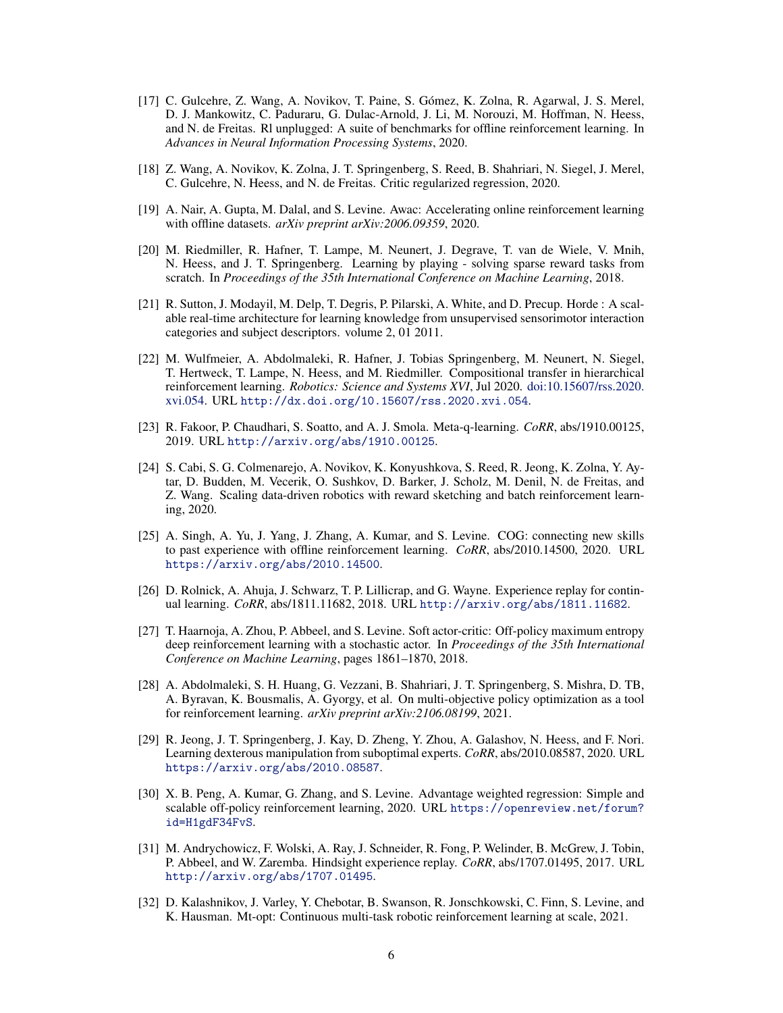- <span id="page-5-0"></span>[17] C. Gulcehre, Z. Wang, A. Novikov, T. Paine, S. Gómez, K. Zolna, R. Agarwal, J. S. Merel, D. J. Mankowitz, C. Paduraru, G. Dulac-Arnold, J. Li, M. Norouzi, M. Hoffman, N. Heess, and N. de Freitas. Rl unplugged: A suite of benchmarks for offline reinforcement learning. In *Advances in Neural Information Processing Systems*, 2020.
- [18] Z. Wang, A. Novikov, K. Zolna, J. T. Springenberg, S. Reed, B. Shahriari, N. Siegel, J. Merel, C. Gulcehre, N. Heess, and N. de Freitas. Critic regularized regression, 2020.
- [19] A. Nair, A. Gupta, M. Dalal, and S. Levine. Awac: Accelerating online reinforcement learning with offline datasets. *arXiv preprint arXiv:2006.09359*, 2020.
- [20] M. Riedmiller, R. Hafner, T. Lampe, M. Neunert, J. Degrave, T. van de Wiele, V. Mnih, N. Heess, and J. T. Springenberg. Learning by playing - solving sparse reward tasks from scratch. In *Proceedings of the 35th International Conference on Machine Learning*, 2018.
- [21] R. Sutton, J. Modayil, M. Delp, T. Degris, P. Pilarski, A. White, and D. Precup. Horde : A scalable real-time architecture for learning knowledge from unsupervised sensorimotor interaction categories and subject descriptors. volume 2, 01 2011.
- [22] M. Wulfmeier, A. Abdolmaleki, R. Hafner, J. Tobias Springenberg, M. Neunert, N. Siegel, T. Hertweck, T. Lampe, N. Heess, and M. Riedmiller. Compositional transfer in hierarchical reinforcement learning. *Robotics: Science and Systems XVI*, Jul 2020. [doi:10.15607/rss.2020.](http://dx.doi.org/10.15607/rss.2020.xvi.054) [xvi.054.](http://dx.doi.org/10.15607/rss.2020.xvi.054) URL <http://dx.doi.org/10.15607/rss.2020.xvi.054>.
- [23] R. Fakoor, P. Chaudhari, S. Soatto, and A. J. Smola. Meta-q-learning. *CoRR*, abs/1910.00125, 2019. URL <http://arxiv.org/abs/1910.00125>.
- [24] S. Cabi, S. G. Colmenarejo, A. Novikov, K. Konyushkova, S. Reed, R. Jeong, K. Zolna, Y. Aytar, D. Budden, M. Vecerik, O. Sushkov, D. Barker, J. Scholz, M. Denil, N. de Freitas, and Z. Wang. Scaling data-driven robotics with reward sketching and batch reinforcement learning, 2020.
- [25] A. Singh, A. Yu, J. Yang, J. Zhang, A. Kumar, and S. Levine. COG: connecting new skills to past experience with offline reinforcement learning. *CoRR*, abs/2010.14500, 2020. URL <https://arxiv.org/abs/2010.14500>.
- [26] D. Rolnick, A. Ahuja, J. Schwarz, T. P. Lillicrap, and G. Wayne. Experience replay for continual learning. *CoRR*, abs/1811.11682, 2018. URL <http://arxiv.org/abs/1811.11682>.
- [27] T. Haarnoja, A. Zhou, P. Abbeel, and S. Levine. Soft actor-critic: Off-policy maximum entropy deep reinforcement learning with a stochastic actor. In *Proceedings of the 35th International Conference on Machine Learning*, pages 1861–1870, 2018.
- [28] A. Abdolmaleki, S. H. Huang, G. Vezzani, B. Shahriari, J. T. Springenberg, S. Mishra, D. TB, A. Byravan, K. Bousmalis, A. Gyorgy, et al. On multi-objective policy optimization as a tool for reinforcement learning. *arXiv preprint arXiv:2106.08199*, 2021.
- [29] R. Jeong, J. T. Springenberg, J. Kay, D. Zheng, Y. Zhou, A. Galashov, N. Heess, and F. Nori. Learning dexterous manipulation from suboptimal experts. *CoRR*, abs/2010.08587, 2020. URL <https://arxiv.org/abs/2010.08587>.
- [30] X. B. Peng, A. Kumar, G. Zhang, and S. Levine. Advantage weighted regression: Simple and scalable off-policy reinforcement learning, 2020. URL [https://openreview.net/forum?](https://openreview.net/forum?id=H1gdF34FvS) [id=H1gdF34FvS](https://openreview.net/forum?id=H1gdF34FvS).
- [31] M. Andrychowicz, F. Wolski, A. Ray, J. Schneider, R. Fong, P. Welinder, B. McGrew, J. Tobin, P. Abbeel, and W. Zaremba. Hindsight experience replay. *CoRR*, abs/1707.01495, 2017. URL <http://arxiv.org/abs/1707.01495>.
- [32] D. Kalashnikov, J. Varley, Y. Chebotar, B. Swanson, R. Jonschkowski, C. Finn, S. Levine, and K. Hausman. Mt-opt: Continuous multi-task robotic reinforcement learning at scale, 2021.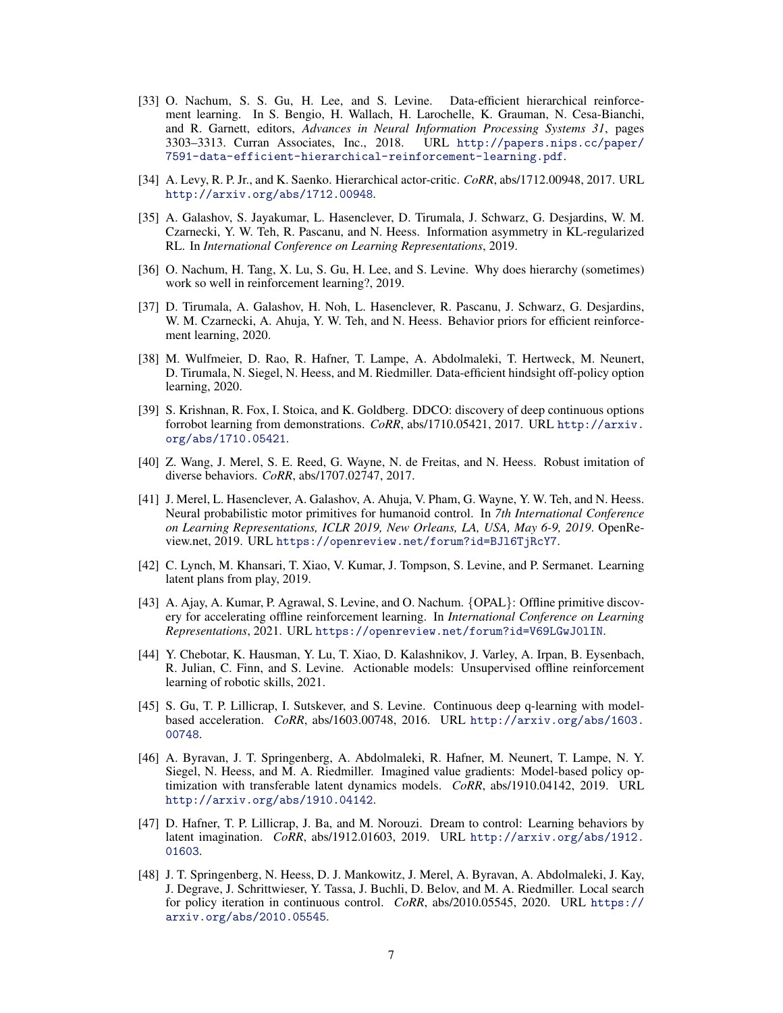- <span id="page-6-0"></span>[33] O. Nachum, S. S. Gu, H. Lee, and S. Levine. Data-efficient hierarchical reinforcement learning. In S. Bengio, H. Wallach, H. Larochelle, K. Grauman, N. Cesa-Bianchi, and R. Garnett, editors, *Advances in Neural Information Processing Systems 31*, pages 3303–3313. Curran Associates, Inc., 2018. URL [http://papers.nips.cc/paper/](http://papers.nips.cc/paper/7591-data-efficient-hierarchical-reinforcement-learning.pdf) [7591-data-efficient-hierarchical-reinforcement-learning.pdf](http://papers.nips.cc/paper/7591-data-efficient-hierarchical-reinforcement-learning.pdf).
- [34] A. Levy, R. P. Jr., and K. Saenko. Hierarchical actor-critic. *CoRR*, abs/1712.00948, 2017. URL <http://arxiv.org/abs/1712.00948>.
- [35] A. Galashov, S. Jayakumar, L. Hasenclever, D. Tirumala, J. Schwarz, G. Desjardins, W. M. Czarnecki, Y. W. Teh, R. Pascanu, and N. Heess. Information asymmetry in KL-regularized RL. In *International Conference on Learning Representations*, 2019.
- [36] O. Nachum, H. Tang, X. Lu, S. Gu, H. Lee, and S. Levine. Why does hierarchy (sometimes) work so well in reinforcement learning?, 2019.
- [37] D. Tirumala, A. Galashov, H. Noh, L. Hasenclever, R. Pascanu, J. Schwarz, G. Desjardins, W. M. Czarnecki, A. Ahuja, Y. W. Teh, and N. Heess. Behavior priors for efficient reinforcement learning, 2020.
- [38] M. Wulfmeier, D. Rao, R. Hafner, T. Lampe, A. Abdolmaleki, T. Hertweck, M. Neunert, D. Tirumala, N. Siegel, N. Heess, and M. Riedmiller. Data-efficient hindsight off-policy option learning, 2020.
- [39] S. Krishnan, R. Fox, I. Stoica, and K. Goldberg. DDCO: discovery of deep continuous options forrobot learning from demonstrations. *CoRR*, abs/1710.05421, 2017. URL [http://arxiv.](http://arxiv.org/abs/1710.05421) [org/abs/1710.05421](http://arxiv.org/abs/1710.05421).
- [40] Z. Wang, J. Merel, S. E. Reed, G. Wayne, N. de Freitas, and N. Heess. Robust imitation of diverse behaviors. *CoRR*, abs/1707.02747, 2017.
- [41] J. Merel, L. Hasenclever, A. Galashov, A. Ahuja, V. Pham, G. Wayne, Y. W. Teh, and N. Heess. Neural probabilistic motor primitives for humanoid control. In *7th International Conference on Learning Representations, ICLR 2019, New Orleans, LA, USA, May 6-9, 2019*. OpenReview.net, 2019. URL <https://openreview.net/forum?id=BJl6TjRcY7>.
- [42] C. Lynch, M. Khansari, T. Xiao, V. Kumar, J. Tompson, S. Levine, and P. Sermanet. Learning latent plans from play, 2019.
- [43] A. Ajay, A. Kumar, P. Agrawal, S. Levine, and O. Nachum. {OPAL}: Offline primitive discovery for accelerating offline reinforcement learning. In *International Conference on Learning Representations*, 2021. URL <https://openreview.net/forum?id=V69LGwJ0lIN>.
- [44] Y. Chebotar, K. Hausman, Y. Lu, T. Xiao, D. Kalashnikov, J. Varley, A. Irpan, B. Eysenbach, R. Julian, C. Finn, and S. Levine. Actionable models: Unsupervised offline reinforcement learning of robotic skills, 2021.
- [45] S. Gu, T. P. Lillicrap, I. Sutskever, and S. Levine. Continuous deep q-learning with modelbased acceleration. *CoRR*, abs/1603.00748, 2016. URL [http://arxiv.org/abs/1603.](http://arxiv.org/abs/1603.00748) [00748](http://arxiv.org/abs/1603.00748).
- [46] A. Byravan, J. T. Springenberg, A. Abdolmaleki, R. Hafner, M. Neunert, T. Lampe, N. Y. Siegel, N. Heess, and M. A. Riedmiller. Imagined value gradients: Model-based policy optimization with transferable latent dynamics models. *CoRR*, abs/1910.04142, 2019. URL <http://arxiv.org/abs/1910.04142>.
- [47] D. Hafner, T. P. Lillicrap, J. Ba, and M. Norouzi. Dream to control: Learning behaviors by latent imagination. *CoRR*, abs/1912.01603, 2019. URL [http://arxiv.org/abs/1912.](http://arxiv.org/abs/1912.01603) [01603](http://arxiv.org/abs/1912.01603).
- [48] J. T. Springenberg, N. Heess, D. J. Mankowitz, J. Merel, A. Byravan, A. Abdolmaleki, J. Kay, J. Degrave, J. Schrittwieser, Y. Tassa, J. Buchli, D. Belov, and M. A. Riedmiller. Local search for policy iteration in continuous control. *CoRR*, abs/2010.05545, 2020. URL [https://](https://arxiv.org/abs/2010.05545) [arxiv.org/abs/2010.05545](https://arxiv.org/abs/2010.05545).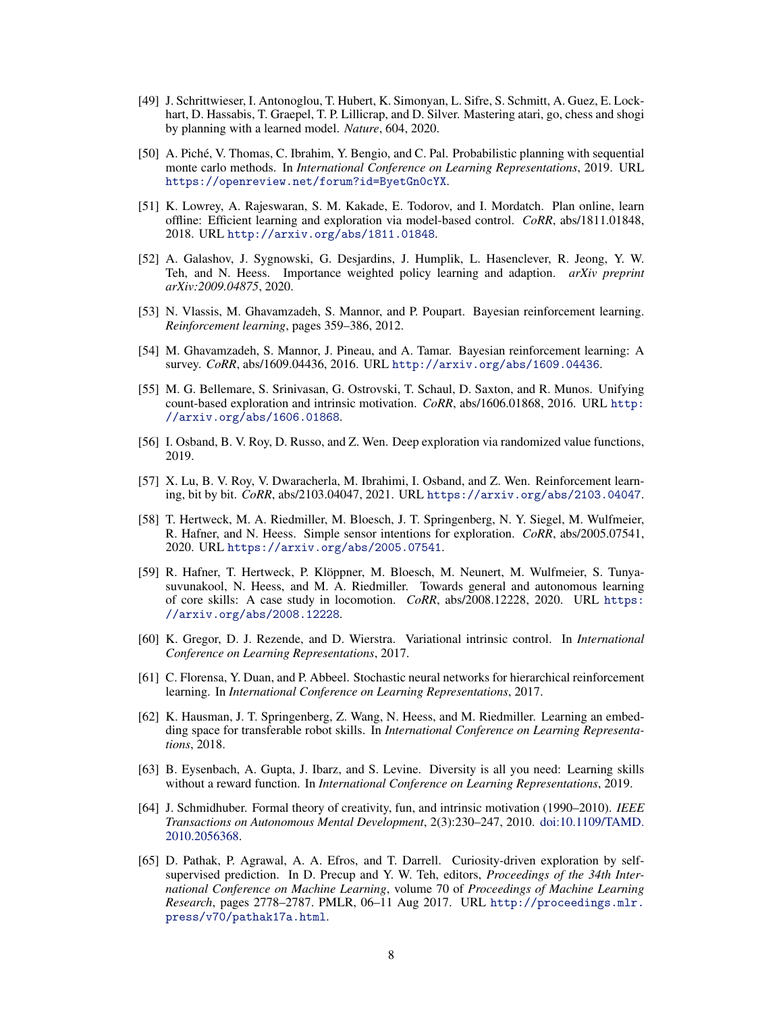- <span id="page-7-0"></span>[49] J. Schrittwieser, I. Antonoglou, T. Hubert, K. Simonyan, L. Sifre, S. Schmitt, A. Guez, E. Lockhart, D. Hassabis, T. Graepel, T. P. Lillicrap, and D. Silver. Mastering atari, go, chess and shogi by planning with a learned model. *Nature*, 604, 2020.
- [50] A. Piché, V. Thomas, C. Ibrahim, Y. Bengio, and C. Pal. Probabilistic planning with sequential monte carlo methods. In *International Conference on Learning Representations*, 2019. URL <https://openreview.net/forum?id=ByetGn0cYX>.
- [51] K. Lowrey, A. Rajeswaran, S. M. Kakade, E. Todorov, and I. Mordatch. Plan online, learn offline: Efficient learning and exploration via model-based control. *CoRR*, abs/1811.01848, 2018. URL <http://arxiv.org/abs/1811.01848>.
- [52] A. Galashov, J. Sygnowski, G. Desjardins, J. Humplik, L. Hasenclever, R. Jeong, Y. W. Teh, and N. Heess. Importance weighted policy learning and adaption. *arXiv preprint arXiv:2009.04875*, 2020.
- [53] N. Vlassis, M. Ghavamzadeh, S. Mannor, and P. Poupart. Bayesian reinforcement learning. *Reinforcement learning*, pages 359–386, 2012.
- [54] M. Ghavamzadeh, S. Mannor, J. Pineau, and A. Tamar. Bayesian reinforcement learning: A survey. *CoRR*, abs/1609.04436, 2016. URL <http://arxiv.org/abs/1609.04436>.
- [55] M. G. Bellemare, S. Srinivasan, G. Ostrovski, T. Schaul, D. Saxton, and R. Munos. Unifying count-based exploration and intrinsic motivation. *CoRR*, abs/1606.01868, 2016. URL [http:](http://arxiv.org/abs/1606.01868) [//arxiv.org/abs/1606.01868](http://arxiv.org/abs/1606.01868).
- [56] I. Osband, B. V. Roy, D. Russo, and Z. Wen. Deep exploration via randomized value functions, 2019.
- [57] X. Lu, B. V. Roy, V. Dwaracherla, M. Ibrahimi, I. Osband, and Z. Wen. Reinforcement learning, bit by bit. *CoRR*, abs/2103.04047, 2021. URL <https://arxiv.org/abs/2103.04047>.
- [58] T. Hertweck, M. A. Riedmiller, M. Bloesch, J. T. Springenberg, N. Y. Siegel, M. Wulfmeier, R. Hafner, and N. Heess. Simple sensor intentions for exploration. *CoRR*, abs/2005.07541, 2020. URL <https://arxiv.org/abs/2005.07541>.
- [59] R. Hafner, T. Hertweck, P. Klöppner, M. Bloesch, M. Neunert, M. Wulfmeier, S. Tunyasuvunakool, N. Heess, and M. A. Riedmiller. Towards general and autonomous learning of core skills: A case study in locomotion. *CoRR*, abs/2008.12228, 2020. URL [https:](https://arxiv.org/abs/2008.12228) [//arxiv.org/abs/2008.12228](https://arxiv.org/abs/2008.12228).
- [60] K. Gregor, D. J. Rezende, and D. Wierstra. Variational intrinsic control. In *International Conference on Learning Representations*, 2017.
- [61] C. Florensa, Y. Duan, and P. Abbeel. Stochastic neural networks for hierarchical reinforcement learning. In *International Conference on Learning Representations*, 2017.
- [62] K. Hausman, J. T. Springenberg, Z. Wang, N. Heess, and M. Riedmiller. Learning an embedding space for transferable robot skills. In *International Conference on Learning Representations*, 2018.
- [63] B. Eysenbach, A. Gupta, J. Ibarz, and S. Levine. Diversity is all you need: Learning skills without a reward function. In *International Conference on Learning Representations*, 2019.
- [64] J. Schmidhuber. Formal theory of creativity, fun, and intrinsic motivation (1990–2010). *IEEE Transactions on Autonomous Mental Development*, 2(3):230–247, 2010. [doi:10.1109/TAMD.](http://dx.doi.org/10.1109/TAMD.2010.2056368) [2010.2056368.](http://dx.doi.org/10.1109/TAMD.2010.2056368)
- [65] D. Pathak, P. Agrawal, A. A. Efros, and T. Darrell. Curiosity-driven exploration by selfsupervised prediction. In D. Precup and Y. W. Teh, editors, *Proceedings of the 34th International Conference on Machine Learning*, volume 70 of *Proceedings of Machine Learning Research*, pages 2778–2787. PMLR, 06–11 Aug 2017. URL [http://proceedings.mlr.](http://proceedings.mlr.press/v70/pathak17a.html) [press/v70/pathak17a.html](http://proceedings.mlr.press/v70/pathak17a.html).